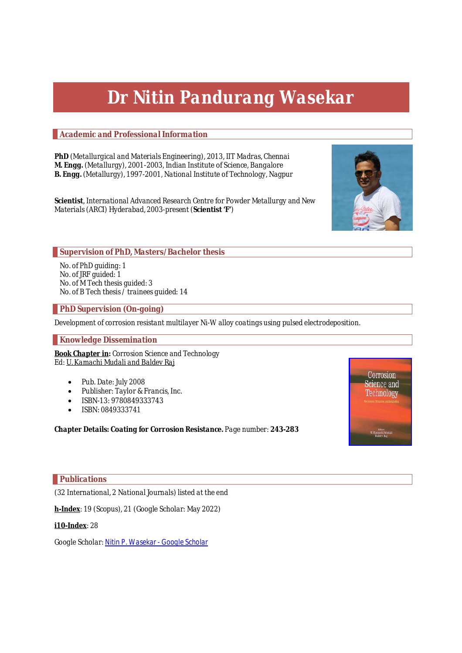# *Dr Nitin Pandurang Wasekar*

# *Academic and Professional Information*

*PhD (Metallurgical and Materials Engineering), 2013, IIT Madras, Chennai M. Engg. (Metallurgy), 2001-2003, Indian Institute of Science, Bangalore B. Engg. (Metallurgy), 1997-2001, National Institute of Technology, Nagpur*

*Scientist, International Advanced Research Centre for Powder Metallurgy and New Materials (ARCI) Hyderabad, 2003-present (Scientist 'F')*



*No. of PhD guiding: 1 No. of JRF guided: 1 No. of M Tech thesis guided: 3 No. of B Tech thesis / trainees guided: 14*

# *PhD Supervision (On-going)*

*Development of corrosion resistant multilayer Ni-W alloy coatings using pulsed electrodeposition.*

# *Knowledge Dissemination*

*Book Chapter in: Corrosion Science and Technology Ed: U. Kamachi Mudali and Baldev Raj*

- *Pub. Date: July 2008*
- *Publisher: Taylor & Francis, Inc.*
- *ISBN-13: 9780849333743*
- *ISBN: 0849333741*

*Chapter Details: Coating for Corrosion Resistance. Page number: 243-283*



# *Publications*

*(32 International, 2 National Journals) listed at the end*

*h-Index: 19 (Scopus), 21 (Google Scholar: May 2022)*

# *i10-Index: 28*

*Google Scholar: Nitin P. Wasekar - Google Scholar*

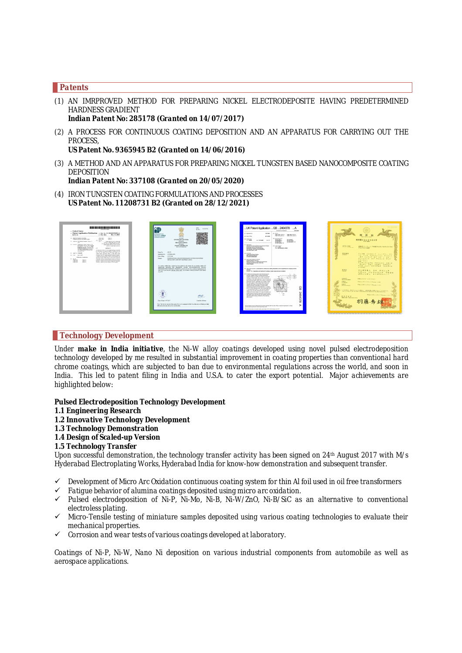### *Patents*

- *(1) AN IMRPROVED METHOD FOR PREPARING NICKEL ELECTRODEPOSITE HAVING PREDETERMINED HARDNESS GRADIENT Indian Patent No: 285178 (Granted on 14/07/2017)*
- *(2) A PROCESS FOR CONTINUOUS COATING DEPOSITION AND AN APPARATUS FOR CARRYING OUT THE PROCESS,*

*US Patent No. 9365945 B2 (Granted on 14/06/2016)*

*(3) A METHOD AND AN APPARATUS FOR PREPARING NICKEL TUNGSTEN BASED NANOCOMPOSITE COATING DEPOSITION*

*Indian Patent No: 337108 (Granted on 20/05/2020)*

*(4) IRON TUNGSTEN COATING FORMULATIONS AND PROCESSES US Patent No. 11208731 B2 (Granted on 28/12/2021)*

| ---------------------<br>- United States<br>12 Patent Application Publication 10 Pro. Sc. US 2018/02/5498 AT<br>Dec. 13, 2018<br>lied at all.<br>an Pab. Date:<br>OF BUILDING TO AN ATTN: COMPANY<br>CONTINUES.<br>COMPANY.<br><b>EXISTATIS A ROOMS, LINIS PRINT STANDS</b><br><b>BERGHAM</b><br>CREATE L<br>co exce<br>(T) Author The Bedg Coopers, Chinan, E.<br>ON the debate chiefs<br><b>STATE</b><br>Gerheim (249 Aus Gerheim Arte)<br>The for charioty with chees children.<br>(C) homes: Thelesser's Ball Deadow W1.<br><b>BUSINESS CREWS AND CONSULT</b><br>the Preside Structure (PC) Northern<br>CONTACTS & RAY ANNA CONTACTS.<br>K Greke, In Loan, MD Citis New<br>Feederang Worster, Helenford (PA).<br><b>MATERIALT</b><br><b>Sociadus Nonferençois 15-bratiul</b><br>(N) Business Auto Artistrate Ban-<br>As describing achieves for investigation whole a lowerated<br><b>Britisher (N)</b><br>by deadline to an assuran mediate a durable later sell.<br>line, line (6) sellers and as alleft ment clear in a<br>GEL And No. HASAN<br>volve chee, exceler clear, or ofter alled new<br>showing hearing and achieves, directoring in the fact achieves.<br>Allo Find  Ass. N. 987<br>a height-hold brig, wellow heighter, industries himpitals.<br>of other purposing beneficial for a successfundation and<br>Publication Charitership<br>disables in the samed adopter a citric said to form the<br><b>COM</b><br>playerform volution. An inter-tangened condition in Kenned an<br><b>CONTRACTOR</b><br>a substitute only the closified in definitivity powing a classical<br>cross and<br>COIN SSE<br>cines at a<br>between a softenity and an anady through the electrology<br>Grecial C<br>CAR CO.<br>adding to dramatizen and turners as the advance. | 임말<br>wer:<br>MINHTI<br>M. No. 1<br><b>INTELLECTUAL</b><br>PROPERTY INDIA<br>weeke you're<br><b>STORES DOWN</b><br><b>STANDS</b><br><b>GOVERNMENT OF POILS</b><br><b>November</b><br>THE PATENT OFFICE<br>My paper.<br>PARINT CERTIFICATE<br><b>But it of the Porent Bales</b><br>$-165276$<br><b>Daniel No. </b><br>Application No. : 1455 BBL/2009<br>1507288<br>Dun-of Files<br>INTERNATIONAL ADVANCED RESEARCH CENTRE FOR POWDER<br>Panae<br>METALLURGY AND NEW MATERIALS ORICH-                                                                                                                                                 | "UK Patent Application  GB  2464378  A<br><b>WE has shadowed</b><br>2104,000<br><b>NOTICE</b><br>ET: ANNOUNCE<br>ALC: NOT OUT<br><b>CARD AND COOK INC.</b><br>stands make contactory<br>GMA Jess Glassico<br>single and consider<br>1010309<br>CO Our officer<br><b><i>BO Gramma Card</i></b><br><b>CO. Book Falls</b><br><b>CA DETAILS</b><br><b>CA MATOR &amp;</b><br><b>COMME OF BUILDING</b><br>On women<br><b>BUNDER</b><br><b>UR ARATH TO BEL</b><br>US INVENIGATIT AT<br><b>IN AFFAALA</b><br><b>LES DESCRIPTION AV</b><br>LANGWHY<br>International Advanced Research Centre for Proudur<br>Ab familiars.<br>Relations and New Moterials (MSC).<br>INT CLICAGE<br>One MR SPODOL ARESP<br>Department of Belonce and Technology<br>Gord Strate, N.O. Green Park Extension,<br><b>Box Subundant, Subu</b><br>Common C<br><b><i>LEASEWATER THE STATE</i></b><br><b>Non-Pandunga Nousian</b><br><b>Southern Symphonics</b><br>C. Annotastic Address for Secure<br><b>Badenham Electron</b><br><b>Referenced Steam 471 Extended Bookward</b><br><b>CENTRAL MA TOM SETTINGS, MAIN HEN-</b><br><b>Build Navador</b>                                                                                                                                                                                                                                                                                                                                                                                                                                     | 特許第5442386号<br>染明の名称<br>流域式コーティング信用方法及び設定法を実施<br>Print of the Secondary<br>TAAAAWE<br>特許確定<br>$4288$ 110017 As-Fin. Fo<br><b>PERMIT</b><br>my nup examples, mixed<br>$47.45717.47.61 - 23$<br><b>Print X23 47 #1323 728</b><br>$99102 -$<br><b>NH CEY</b><br>$129 - 72856$ $774281$ $19 - 6$<br>$429 - 74 - 199 - 1990 -$                                                                                                                                                                                    |
|-----------------------------------------------------------------------------------------------------------------------------------------------------------------------------------------------------------------------------------------------------------------------------------------------------------------------------------------------------------------------------------------------------------------------------------------------------------------------------------------------------------------------------------------------------------------------------------------------------------------------------------------------------------------------------------------------------------------------------------------------------------------------------------------------------------------------------------------------------------------------------------------------------------------------------------------------------------------------------------------------------------------------------------------------------------------------------------------------------------------------------------------------------------------------------------------------------------------------------------------------------------------------------------------------------------------------------------------------------------------------------------------------------------------------------------------------------------------------------------------------------------------------------------------------------------------------------------------------------------------------------------------------------------------------------------------------------------------------------------------------------------------------------|--------------------------------------------------------------------------------------------------------------------------------------------------------------------------------------------------------------------------------------------------------------------------------------------------------------------------------------------------------------------------------------------------------------------------------------------------------------------------------------------------------------------------------------------------------------------------------------------------------------------------------------|--------------------------------------------------------------------------------------------------------------------------------------------------------------------------------------------------------------------------------------------------------------------------------------------------------------------------------------------------------------------------------------------------------------------------------------------------------------------------------------------------------------------------------------------------------------------------------------------------------------------------------------------------------------------------------------------------------------------------------------------------------------------------------------------------------------------------------------------------------------------------------------------------------------------------------------------------------------------------------------------------------------------------------------------------------------------------------------------------------------------------------------------------------------------------------------------------------------------------------------------------------------------------------------------------------------------------------------------------------------------------------------------------------------------------------------------------------------------------------------------------------------------------------------------------------|--------------------------------------------------------------------------------------------------------------------------------------------------------------------------------------------------------------------------------------------------------------------------------------------------------------------------------------------------------------------------------------------------------------------------------------------------------------------------------------------------------------|
|                                                                                                                                                                                                                                                                                                                                                                                                                                                                                                                                                                                                                                                                                                                                                                                                                                                                                                                                                                                                                                                                                                                                                                                                                                                                                                                                                                                                                                                                                                                                                                                                                                                                                                                                                                             | It is basic certified that a potent has been granted to the paramet for an investor entitled AN<br>negovin agrees top retaurist vergit precurements succes-<br>PECOLITATINING ENGINEERS GRADENT as distinctin the above medium of application for the<br>tem of 20 years from the 13th day of July 2009 . In accordance with the provisions of the Patrots.<br>Automatic<br><b>offseld</b><br><b>STATISTICS</b><br>David Down 14/07/2017<br>Complete Plann<br>Note. The first for reprint of the water. If it is to be maintained will fed. The fights she on 19th that of July.<br>2011 and on the same ducts every your downstire. | In The of the Injection: A process for confinishe needing deposition and an assembly for carriers out the<br>Abstract Title Assemble and method of opating a metal using microgra politician<br>1. A marked and day our which uses the both mount of<br>microsom nativation. Which or steams abstraktion<br>cedator: PECI to smalls a thr sammo convenion<br>coation on matal shares. Sale or wines. The desirer<br><b>Charles of Archiv 7 dealerships had him a restriction</b><br>See rentimed again. FBPI and contens an abating<br>algorithmic sciences, such paper sulter shares 3. Know<br>ber helm gudes 4. firme copper rock 5 which are<br>supplied with source by Neth conducts by consen-<br>Cherries & that was concerned by a trownt outside.<br>comprising thursdays Carol bandymans T. a notation<br>읎<br>drive 10. Price indicating matchmatic & alacterizing injur-<br>11 and electronic outer 12. The nyite bet guided 4.<br>come rids Landing collective note rids 2 are<br>consisting the drive means 13 in cost the metal to be<br>246<br>coded passes finish the excitated position plans<br>. .<br><b>Sec</b><br>the content mats Candidae make har middes & scheme at<br>$\sim$<br>cost forms betywoeing colected by the collecting<br>when sole &<br>A<br>ω<br>52<br>ъ<br>The prefigent account of multicement discurrents submitted after the date of the pro models the particular is comply<br>with the Antium payments of the Relative Buller With<br>The pretime promptions make what budge 1177 of the Patient Ad 1977. | $T \times T$ $A = T$ $T T T T T T T T T T T T T T$<br>$u = r(t)$<br>555<br>リンガマネニ ラマ クリシュナ<br>ニティン バンドゥラング ワセカル<br>コヴィングン スングラウン<br>ARAT<br>NM2009-237921<br>1000<br><b>FAZIBIORIS CHANNELL</b><br><b>Charles Service</b><br><b>BMB</b><br><b>PAZSRIZEZTRAMMINES</b><br><b>Ballyton and</b><br>この影響は、特許するもので確定し、再想重复に事務されたこともなする。<br>Then It is goined but the money of macrosco as the moneta at the parameters around to<br>PAZZAIZAZTRAMA PRET<br>$R$ <i>nagkt</i><br><b>CONTRACTOR</b> AND NOTES AND ART |

#### *Technology Development*

*Under make in India initiative, the Ni-W alloy coatings developed using novel pulsed electrodeposition technology developed by me resulted in substantial improvement in coating properties than conventional hard chrome coatings, which are subjected to ban due to environmental regulations across the world, and soon in India. This led to patent filing in India and U.S.A. to cater the export potential. Major achievements are highlighted below:*

#### *Pulsed Electrodeposition Technology Development*

- *1.1 Engineering Research*
- *1.2 Innovative Technology Development*
- *1.3 Technology Demonstration*
- *1.4 Design of Scaled-up Version*

#### *1.5 Technology Transfer*

*Upon successful demonstration, the technology transfer activity has been signed on 24th August 2017 with M/s Hyderabad Electroplating Works, Hyderabad India for know-how demonstration and subsequent transfer.*

- *Development of Micro Arc Oxidation continuous coating system for thin Al foil used in oil free transformers*
- *Fatigue behavior of alumina coatings deposited using micro arc oxidation.*
- *Pulsed electrodeposition of Ni-P, Ni-Mo, Ni-B, Ni-W/ZnO, Ni-B/SiC as an alternative to conventional electroless plating.*
- *Micro-Tensile testing of miniature samples deposited using various coating technologies to evaluate their mechanical properties.*
- *Corrosion and wear tests of various coatings developed at laboratory.*

*Coatings of Ni-P, Ni-W, Nano Ni deposition on various industrial components from automobile as well as aerospace applications.*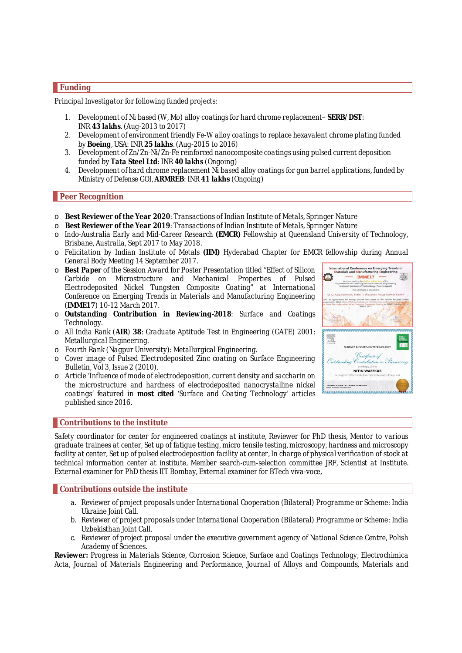# *Funding*

*Principal Investigator for following funded projects:*

- *1. Development of Ni based (W, Mo) alloy coatings for hard chrome replacement– SERB/DST: INR 43 lakhs. (Aug-2013 to 2017)*
- *2. Development of environment friendly Fe-W alloy coatings to replace hexavalent chrome plating funded by Boeing, USA: INR 25 lakhs. (Aug-2015 to 2016)*
- *3. Development of Zn/Zn-Ni/Zn-Fe reinforced nanocomposite coatings using pulsed current deposition funded by Tata Steel Ltd: INR 40 lakhs (Ongoing)*
- *4. Development of hard chrome replacement Ni based alloy coatings for gun barrel applications, funded by Ministry of Defense GOI, ARMREB: INR 41 lakhs (Ongoing)*

# *Peer Recognition*

- o *Best Reviewer of the Year 2020: Transactions of Indian Institute of Metals, Springer Nature*
- o *Best Reviewer of the Year 2019: Transactions of Indian Institute of Metals, Springer Nature*
- o *Indo-Australia Early and Mid-Career Research (EMCR) Fellowship at Queensland University of Technology, Brisbane, Australia, Sept 2017 to May 2018.*
- o *Felicitation by Indian Institute of Metals (IIM) Hyderabad Chapter for EMCR fellowship during Annual General Body Meeting 14 September 2017.*
- o *Best Paper of the Session Award for Poster Presentation titled "Effect of Silicon Carbide on Microstructure and Mechanical Properties of Pulsed Electrodeposited Nickel Tungsten Composite Coating" at International Conference on Emerging Trends in Materials and Manufacturing Engineering (IMME17) 10-12 March 2017.*
- o *Outstanding Contribution in Reviewing-2018: Surface and Coatings Technology.*
- o *All India Rank (AIR) 38: Graduate Aptitude Test in Engineering (GATE) 2001: Metallurgical Engineering.*
- o *Fourth Rank (Nagpur University): Metallurgical Engineering.*
- o *Cover image of Pulsed Electrodeposited Zinc coating on Surface Engineering Bulletin, Vol 3, Issue 2 (2010).*
- o *Article 'Influence of mode of electrodeposition, current density and saccharin on the microstructure and hardness of electrodeposited nanocrystalline nickel coatings' featured in most cited 'Surface and Coating Technology' articles published since 2016.*



# *Contributions to the institute*

*Safety coordinator for center for engineered coatings at institute, Reviewer for PhD thesis, Mentor to various graduate trainees at center, Set up of fatigue testing, micro tensile testing, microscopy, hardness and microscopy facility at center, Set up of pulsed electrodeposition facility at center, In charge of physical verification of stock at technical information center at institute, Member search-cum-selection committee JRF, Scientist at Institute. External examiner for PhD thesis IIT Bombay, External examiner for BTech viva-voce,*

#### *Contributions outside the institute*

- *a. Reviewer of project proposals under International Cooperation (Bilateral) Programme or Scheme: India Ukraine Joint Call.*
- *b. Reviewer of project proposals under International Cooperation (Bilateral) Programme or Scheme: India Uzbekisthan Joint Call.*
- *c. Reviewer of project proposal under the executive government agency of National Science Centre, Polish Academy of Sciences.*

*Reviewer: Progress in Materials Science, Corrosion Science, Surface and Coatings Technology, Electrochimica Acta, Journal of Materials Engineering and Performance, Journal of Alloys and Compounds, Materials and*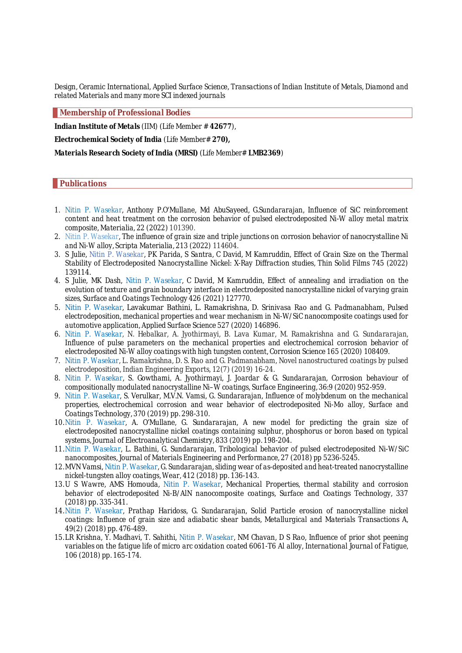*Design, Ceramic International, Applied Surface Science, Transactions of Indian Institute of Metals, Diamond and related Materials and many more SCI indexed journals*

*Membership of Professional Bodies*

*Indian Institute of Metals (IIM) (Life Member # 42677),* 

*Electrochemical Society of India (Life Member# 270),* 

*Materials Research Society of India (MRSI) (Life Member# LMB2369)*

#### *Publications*

- *1. Nitin P. Wasekar, Anthony P.O'Mullane, Md AbuSayeed, G.Sundararajan, Influence of SiC reinforcement content and heat treatment on the corrosion behavior of pulsed electrodeposited Ni-W alloy metal matrix composite, Materialia, 22 (2022) 101390.*
- *2. Nitin P. Wasekar, The influence of grain size and triple junctions on corrosion behavior of nanocrystalline Ni and Ni-W alloy, Scripta Materialia, 213 (2022) 114604.*
- *3. S Julie, Nitin P. Wasekar, PK Parida, S Santra, C David, M Kamruddin, Effect of Grain Size on the Thermal Stability of Electrodeposited Nanocrystalline Nickel: X-Ray Diffraction studies, Thin Solid Films 745 (2022) 139114.*
- *4. S Julie, MK Dash, Nitin P. Wasekar, C David, M Kamruddin, Effect of annealing and irradiation on the evolution of texture and grain boundary interface in electrodeposited nanocrystalline nickel of varying grain sizes, Surface and Coatings Technology 426 (2021) 127770.*
- *5.* Nitin P. Wasekar, Lavakumar Bathini, L. Ramakrishna, D*. Srinivasa Rao and G. Padmanabham, Pulsed electrodeposition, mechanical properties and wear mechanism in Ni-W/SiC nanocomposite coatings used for automotive application, Applied Surface Science 527 (2020) 146896.*
- *6. Nitin P. Wasekar, N. Hebalkar, A. Jyothirmayi, B. Lava Kumar, M. Ramakrishna and G. Sundararajan, Influence of pulse parameters on the mechanical properties and electrochemical corrosion behavior of electrodeposited Ni-W alloy coatings with high tungsten content, Corrosion Science 165 (2020) 108409.*
- *7. Nitin P. Wasekar, L. Ramakrishna, D. S. Rao and G. Padmanabham, Novel nanostructured coatings by pulsed electrodeposition, Indian Engineering Exports, 12(7) (2019) 16-24.*
- *8. Nitin P. Wasekar, S. Gowthami, A. Jyothirmayi, J. Joardar & G. Sundararajan, Corrosion behaviour of compositionally modulated nanocrystalline Ni–W coatings, Surface Engineering, 36:9 (2020) 952-959.*
- *9. Nitin P. Wasekar, S. Verulkar, M.V.N. Vamsi, G. Sundararajan, Influence of molybdenum on the mechanical properties, electrochemical corrosion and wear behavior of electrodeposited Ni-Mo alloy, Surface and Coatings Technology, 370 (2019) pp. 298-310.*
- *10.Nitin P. Wasekar, A. O'Mullane, G. Sundararajan, A new model for predicting the grain size of electrodeposited nanocrystalline nickel coatings containing sulphur, phosphorus or boron based on typical systems, Journal of Electroanalytical Chemistry, 833 (2019) pp. 198-204.*
- *11.Nitin P. Wasekar, L. Bathini, G. Sundararajan, Tribological behavior of pulsed electrodeposited Ni-W/SiC nanocomposites, Journal of Materials Engineering and Performance, 27 (2018) pp 5236-5245.*
- *12.MVN Vamsi, Nitin P. Wasekar, G. Sundararajan, sliding wear of as-deposited and heat-treated nanocrystalline nickel-tungsten alloy coatings, Wear, 412 (2018) pp. 136-143.*
- *13.U S Wawre, AMS Homouda, Nitin P. Wasekar, Mechanical Properties, thermal stability and corrosion behavior of electrodeposited Ni-B/AlN nanocomposite coatings, Surface and Coatings Technology, 337 (2018) pp. 335-341.*
- *14.Nitin P. Wasekar, Prathap Haridoss, G. Sundararajan, Solid Particle erosion of nanocrystalline nickel coatings: Influence of grain size and adiabatic shear bands, Metallurgical and Materials Transactions A, 49(2) (2018) pp. 476-489.*
- *15.LR Krishna, Y. Madhavi, T. Sahithi, Nitin P. Wasekar, NM Chavan, D S Rao, Influence of prior shot peening variables on the fatigue life of micro arc oxidation coated 6061-T6 Al alloy, International Journal of Fatigue, 106 (2018) pp. 165-174.*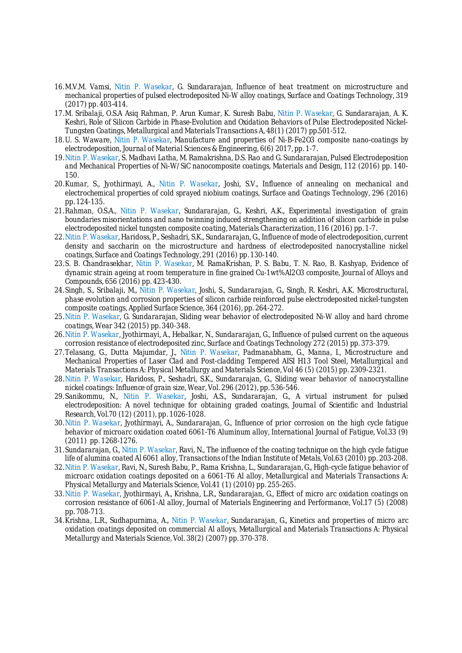- *16.M.V.M. Vamsi, Nitin P. Wasekar, G. Sundararajan, Influence of heat treatment on microstructure and mechanical properties of pulsed electrodeposited Ni-W alloy coatings, Surface and Coatings Technology, 319 (2017) pp. 403-414.*
- *17.M. Sribalaji, O.S.A Asiq Rahman, P. Arun Kumar, K. Suresh Babu, Nitin P. Wasekar, G. Sundararajan, A. K. Keshri, Role of Silicon Carbide in Phase-Evolution and Oxidation Behaviors of Pulse Electrodeposited Nickel-Tungsten Coatings, Metallurgical and Materials Transactions A, 48(1) (2017) pp.501-512.*
- *18.U. S. Waware, Nitin P. Wasekar, Manufacture and properties of Ni-B-Fe2O3 composite nano-coatings by electrodeposition, Journal of Material Sciences & Engineering, 6(6) 2017, pp. 1-7.*
- *19.Nitin P. Wasekar, S. Madhavi Latha, M. Ramakrishna, D.S. Rao and G. Sundararajan, Pulsed Electrodeposition and Mechanical Properties of Ni-W/SiC nanocomposite coatings, Materials and Design, 112 (2016) pp. 140- 150.*
- *20.Kumar, S., Jyothirmayi, A., Nitin P. Wasekar, Joshi, S.V., Influence of annealing on mechanical and electrochemical properties of cold sprayed niobium coatings, Surface and Coatings Technology, 296 (2016) pp. 124-135.*
- *21.Rahman, O.S.A., Nitin P. Wasekar, Sundararajan, G., Keshri, A.K., Experimental investigation of grain boundaries misorientations and nano twinning induced strengthening on addition of silicon carbide in pulse electrodeposited nickel tungsten composite coating, Materials Characterization, 116 (2016) pp. 1-7.*
- *22.Nitin P. Wasekar, Haridoss, P., Seshadri, S.K., Sundararajan, G., Influence of mode of electrodeposition, current density and saccharin on the microstructure and hardness of electrodeposited nanocrystalline nickel coatings, Surface and Coatings Technology, 291 (2016) pp. 130-140.*
- *23.S. B. Chandrasekhar, Nitin P. Wasekar, M. RamaKrishan, P. S. Babu, T. N. Rao, B. Kashyap, Evidence of dynamic strain ageing at room temperature in fine grained Cu-1wt%Al2O3 composite, Journal of Alloys and Compounds, 656 (2016) pp. 423-430.*
- *24.Singh, S., Sribalaji, M., Nitin P. Wasekar, Joshi, S., Sundararajan, G., Singh, R. Keshri, A.K. Microstructural, phase evolution and corrosion properties of silicon carbide reinforced pulse electrodeposited nickel-tungsten composite coatings, Applied Surface Science, 364 (2016), pp. 264-272.*
- *25.Nitin P. Wasekar, G. Sundararajan, Sliding wear behavior of electrodeposited Ni-W alloy and hard chrome coatings, Wear 342 (2015) pp. 340-348.*
- *26.Nitin P. Wasekar, Jyothirmayi, A., Hebalkar, N., Sundararajan, G., Influence of pulsed current on the aqueous corrosion resistance of electrodeposited zinc, Surface and Coatings Technology 272 (2015) pp. 373-379.*
- *27.Telasang, G., Dutta Majumdar, J., Nitin P. Wasekar, Padmanabham, G., Manna, I., Microstructure and Mechanical Properties of Laser Clad and Post-cladding Tempered AISI H13 Tool Steel, Metallurgical and Materials Transactions A: Physical Metallurgy and Materials Science, Vol 46 (5) (2015) pp. 2309-2321.*
- *28.Nitin P. Wasekar, Haridoss, P., Seshadri, S.K., Sundararajan, G., Sliding wear behavior of nanocrystalline nickel coatings: Influence of grain size, Wear, Vol. 296 (2012), pp. 536-546.*
- *29.Sanikommu, N., Nitin P. Wasekar, Joshi, A.S., Sundararajan, G., A virtual instrument for pulsed electrodeposition: A novel technique for obtaining graded coatings, Journal of Scientific and Industrial Research, Vol.70 (12) (2011), pp. 1026-1028.*
- *30.Nitin P. Wasekar, Jyothirmayi, A., Sundararajan, G., Influence of prior corrosion on the high cycle fatigue behavior of microarc oxidation coated 6061-T6 Aluminum alloy, International Journal of Fatigue, Vol.33 (9) (2011) pp. 1268-1276.*
- *31.Sundararajan, G., Nitin P. Wasekar, Ravi, N., The influence of the coating technique on the high cycle fatigue life of alumina coated Al 6061 alloy, Transactions of the Indian Institute of Metals, Vol.63 (2010) pp. 203-208.*
- *32.Nitin P. Wasekar, Ravi, N., Suresh Babu, P., Rama Krishna, L., Sundararajan, G., High-cycle fatigue behavior of microarc oxidation coatings deposited on a 6061-T6 Al alloy, Metallurgical and Materials Transactions A: Physical Metallurgy and Materials Science, Vol.41 (1) (2010) pp. 255-265.*
- *33.Nitin P. Wasekar, Jyothirmayi, A., Krishna, L.R., Sundararajan, G., Effect of micro arc oxidation coatings on corrosion resistance of 6061-Al alloy, Journal of Materials Engineering and Performance, Vol.17 (5) (2008) pp. 708-713.*
- *34.Krishna, L.R., Sudhapurnima, A., Nitin P. Wasekar, Sundararajan, G., Kinetics and properties of micro arc oxidation coatings deposited on commercial Al alloys, Metallurgical and Materials Transactions A: Physical Metallurgy and Materials Science, Vol. 38(2) (2007) pp. 370-378.*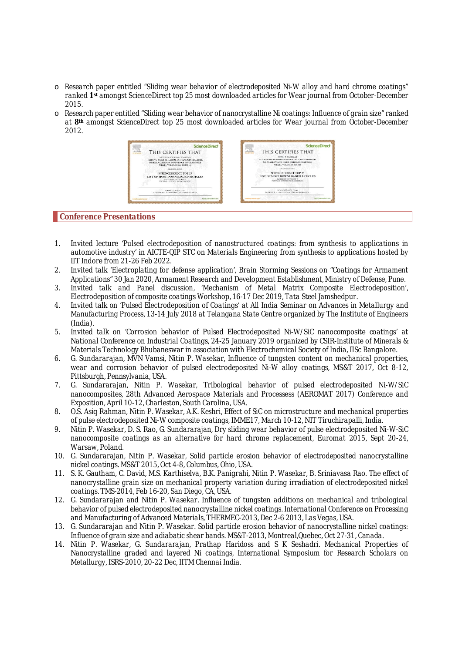- o *Research paper entitled "Sliding wear behavior of electrodeposited Ni-W alloy and hard chrome coatings" ranked 1st amongst ScienceDirect top 25 most downloaded articles for Wear journal from October-December 2015.*
- o *Research paper entitled "Sliding wear behavior of nanocrystalline Ni coatings: Influence of grain size" ranked at 8th amongst ScienceDirect top 25 most downloaded articles for Wear journal from October-December 2012.*



#### *Conference Presentations*

- *1. Invited lecture 'Pulsed electrodeposition of nanostructured coatings: from synthesis to applications in automotive industry' in AICTE-QIP STC on Materials Engineering from synthesis to applications hosted by IIT Indore from 21-26 Feb 2022.*
- *2. Invited talk 'Electroplating for defense application', Brain Storming Sessions on "Coatings for Armament Applications" 30 Jan 2020, Armament Research and Development Establishment, Ministry of Defense, Pune.*
- *3. Invited talk and Panel discussion, 'Mechanism of Metal Matrix Composite Electrodeposition', Electrodeposition of composite coatings Workshop, 16-17 Dec 2019, Tata Steel Jamshedpur.*
- *4. Invited talk on 'Pulsed Electrodeposition of Coatings' at All India Seminar on Advances in Metallurgy and Manufacturing Process, 13-14 July 2018 at Telangana State Centre organized by The Institute of Engineers (India).*
- *5. Invited talk on 'Corrosion behavior of Pulsed Electrodeposited Ni-W/SiC nanocomposite coatings' at National Conference on Industrial Coatings, 24-25 January 2019 organized by CSIR-Institute of Minerals & Materials Technology Bhubaneswar in association with Electrochemical Society of India, IISc Bangalore.*
- *6. G. Sundararajan, MVN Vamsi, Nitin P. Wasekar, Influence of tungsten content on mechanical properties, wear and corrosion behavior of pulsed electrodeposited Ni-W alloy coatings, MS&T 2017, Oct 8-12, Pittsburgh, Pennsylvania, USA.*
- *7. G. Sundararajan, Nitin P. Wasekar, Tribological behavior of pulsed electrodeposited Ni-W/SiC nanocomposites, 28th Advanced Aerospace Materials and Processess (AEROMAT 2017) Conference and Exposition, April 10-12, Charleston, South Carolina, USA.*
- *8. O.S. Asiq Rahman, Nitin P. Wasekar, A.K. Keshri, Effect of SiC on microstructure and mechanical properties of pulse electrodeposited Ni-W composite coatings, IMME17, March 10-12, NIT Tiruchirapalli, India.*
- *9. Nitin P. Wasekar, D. S. Rao, G. Sundararajan, Dry sliding wear behavior of pulse electrodeposited Ni-W-SiC nanocomposite coatings as an alternative for hard chrome replacement, Euromat 2015, Sept 20-24, Warsaw, Poland.*
- *10. G. Sundararajan, Nitin P. Wasekar, Solid particle erosion behavior of electrodeposited nanocrystalline nickel coatings. MS&T 2015, Oct 4-8, Columbus, Ohio, USA.*
- *11. S. K. Gautham, C. David, M.S. Karthiselva, B.K. Panigrahi, Nitin P. Wasekar, B. Sriniavasa Rao. The effect of nanocrystalline grain size on mechanical property variation during irradiation of electrodeposited nickel coatings. TMS-2014, Feb 16-20, San Diego, CA, USA.*
- *12. G. Sundararajan and Nitin P. Wasekar. Influence of tungsten additions on mechanical and tribological behavior of pulsed electrodeposited nanocrystalline nickel coatings. International Conference on Processing and Manufacturing of Advanced Materials, THERMEC-2013, Dec 2-6 2013, Las Vegas, USA.*
- *13. G. Sundararajan and Nitin P. Wasekar. Solid particle erosion behavior of nanocrystalline nickel coatings: Influence of grain size and adiabatic shear bands. MS&T-2013, Montreal,Quebec, Oct 27-31, Canada.*
- *14. Nitin P. Wasekar, G. Sundararajan, Prathap Haridoss and S K Seshadri. Mechanical Properties of Nanocrystalline graded and layered Ni coatings, International Symposium for Research Scholars on Metallurgy, ISRS-2010, 20-22 Dec, IITM Chennai India.*